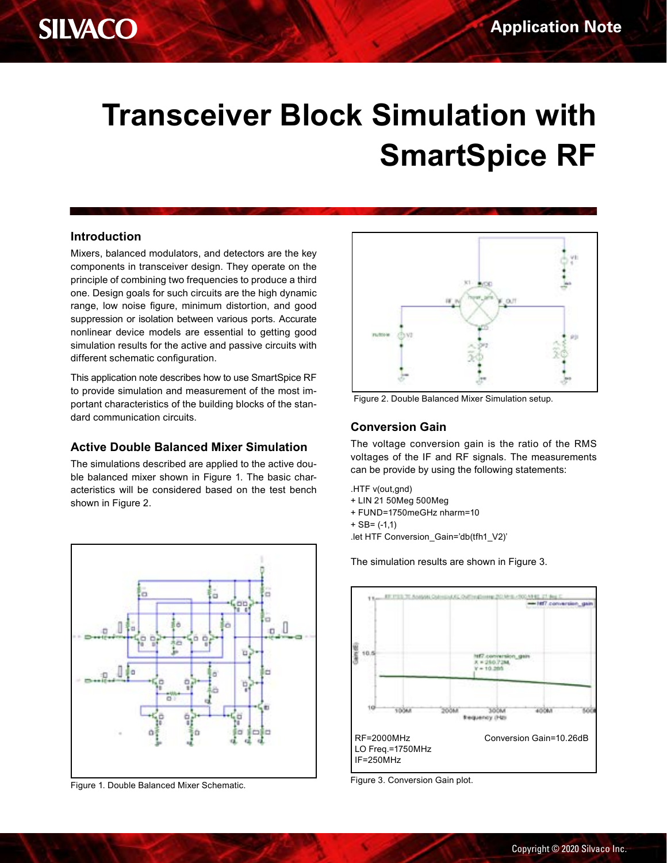# **Transceiver Block Simulation with SmartSpice RF**

#### **Introduction**

Mixers, balanced modulators, and detectors are the key components in transceiver design. They operate on the principle of combining two frequencies to produce a third one. Design goals for such circuits are the high dynamic range, low noise figure, minimum distortion, and good suppression or isolation between various ports. Accurate nonlinear device models are essential to getting good simulation results for the active and passive circuits with different schematic configuration.

This application note describes how to use SmartSpice RF to provide simulation and measurement of the most important characteristics of the building blocks of the standard communication circuits.

### **Active Double Balanced Mixer Simulation**

The simulations described are applied to the active double balanced mixer shown in Figure 1. The basic characteristics will be considered based on the test bench shown in Figure 2.



Figure 1. Double Balanced Mixer Schematic.



Figure 2. Double Balanced Mixer Simulation setup.

### **Conversion Gain**

The voltage conversion gain is the ratio of the RMS voltages of the IF and RF signals. The measurements can be provide by using the following statements:

.HTF v(out,gnd)

- + LIN 21 50Meg 500Meg
- + FUND=1750meGHz nharm=10
- $+$  SB=  $(-1,1)$

.let HTF Conversion\_Gain='db(tfh1\_V2)'

The simulation results are shown in Figure 3.



Figure 3. Conversion Gain plot.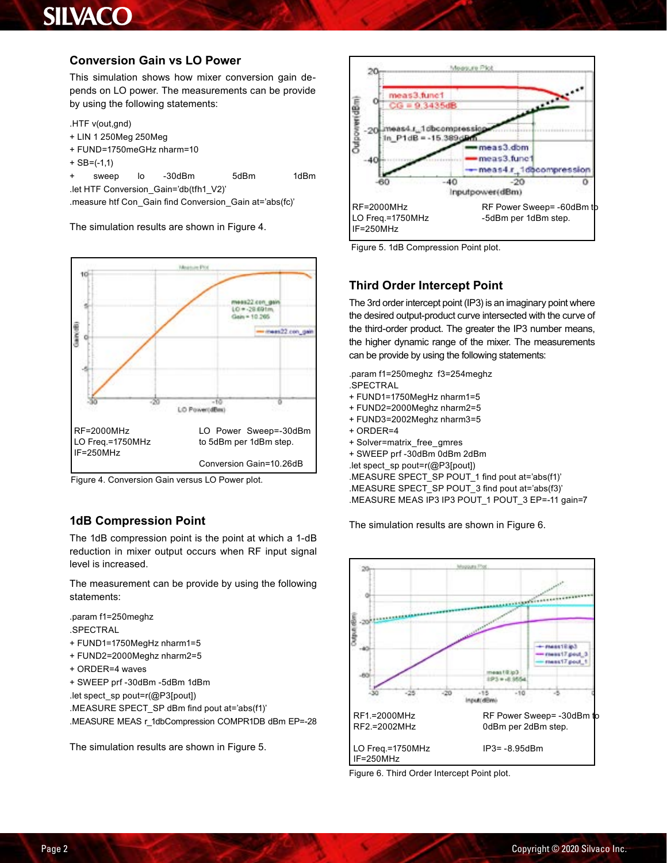### **Conversion Gain vs LO Power**

This simulation shows how mixer conversion gain depends on LO power. The measurements can be provide by using the following statements:

.HTF v(out,gnd)

- + LIN 1 250Meg 250Meg
- + FUND=1750meGHz nharm=10
- $+$  SB= $(-1,1)$

+ sweep lo -30dBm 5dBm 1dBm

.let HTF Conversion\_Gain='db(tfh1\_V2)'

.measure htf Con\_Gain find Conversion\_Gain at='abs(fc)'

The simulation results are shown in Figure 4.



Figure 4. Conversion Gain versus LO Power plot.

### **1dB Compression Point**

The 1dB compression point is the point at which a 1-dB reduction in mixer output occurs when RF input signal level is increased.

The measurement can be provide by using the following statements:

.param f1=250meghz .SPECTRAL

- + FUND1=1750MegHz nharm1=5
- + FUND2=2000Meghz nharm2=5
- + ORDER=4 waves
- + SWEEP prf -30dBm -5dBm 1dBm
- .let spect\_sp pout=r(@P3[pout])

.MEASURE SPECT\_SP dBm find pout at='abs(f1)' .MEASURE MEAS r\_1dbCompression COMPR1DB dBm EP=-28

The simulation results are shown in Figure 5.



Figure 5. 1dB Compression Point plot.

### **Third Order Intercept Point**

The 3rd order intercept point (IP3) is an imaginary point where the desired output-product curve intersected with the curve of the third-order product. The greater the IP3 number means, the higher dynamic range of the mixer. The measurements can be provide by using the following statements:

.param f1=250meghz f3=254meghz .SPECTRAL

- + FUND1=1750MegHz nharm1=5
- + FUND2=2000Meghz nharm2=5
- + FUND3=2002Meghz nharm3=5
- + ORDER=4
- + Solver=matrix\_free\_gmres
- + SWEEP prf -30dBm 0dBm 2dBm

.let spect\_sp pout=r(@P3[pout])

.MEASURE SPECT\_SP POUT\_1 find pout at='abs(f1)' .MEASURE SPECT\_SP POUT\_3 find pout at='abs(f3)' .MEASURE MEAS IP3 IP3 POUT 1 POUT 3 EP=-11 gain=7

The simulation results are shown in Figure 6.



Figure 6. Third Order Intercept Point plot.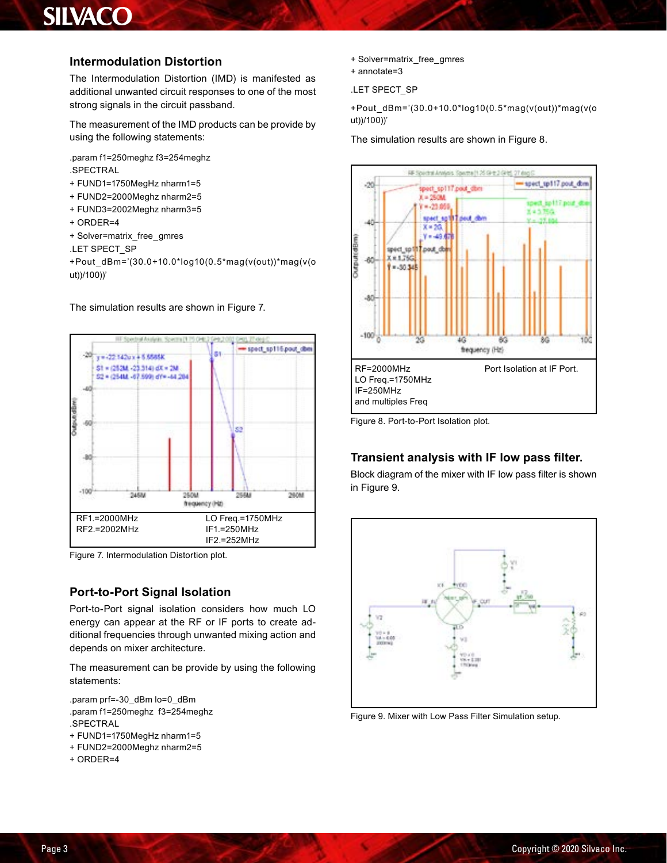### **Intermodulation Distortion**

The Intermodulation Distortion (IMD) is manifested as additional unwanted circuit responses to one of the most strong signals in the circuit passband.

The measurement of the IMD products can be provide by using the following statements:

.param f1=250meghz f3=254meghz .SPECTRAL

- + FUND1=1750MegHz nharm1=5
- + FUND2=2000Meghz nharm2=5
- + FUND3=2002Meghz nharm3=5
- + ORDER=4
- + Solver=matrix\_free\_gmres
- .LET SPECT\_SP

+Pout\_dBm='(30.0+10.0\*log10(0.5\*mag(v(out))\*mag(v(o ut))/100))'

#### The simulation results are shown in Figure 7.



Figure 7. Intermodulation Distortion plot.

### **Port-to-Port Signal Isolation**

Port-to-Port signal isolation considers how much LO energy can appear at the RF or IF ports to create additional frequencies through unwanted mixing action and depends on mixer architecture.

The measurement can be provide by using the following statements:

.param prf=-30\_dBm lo=0\_dBm .param f1=250meghz f3=254meghz .SPECTRAL

- + FUND1=1750MegHz nharm1=5
- + FUND2=2000Meghz nharm2=5
- + ORDER=4
- + Solver=matrix\_free\_gmres
- + annotate=3

.LET SPECT\_SP

+Pout\_dBm='(30.0+10.0\*log10(0.5\*mag(v(out))\*mag(v(o ut))/100))'

#### The simulation results are shown in Figure 8.



Figure 8. Port-to-Port Isolation plot.

### **Transient analysis with IF low pass filter.**

Block diagram of the mixer with IF low pass filter is shown in Figure 9.



Figure 9. Mixer with Low Pass Filter Simulation setup.